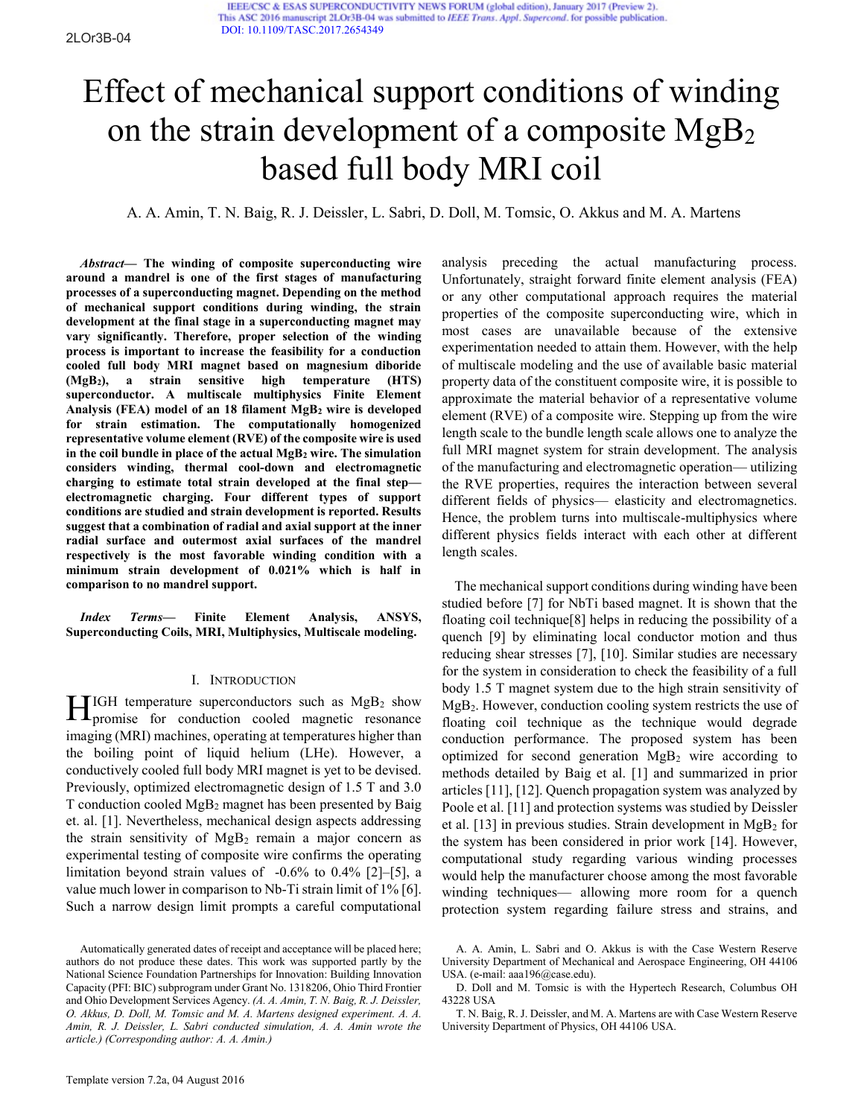IEEE/CSC & ESAS SUPERCONDUCTIVITY NEWS FORUM (global edition), January 2017 (Preview 2). This ASC 2016 manuscript 2LOr3B-04 was submitted to IEEE Trans. Appl. Supercond. for possible publication. [DOI: 10.1109/TASC.2017.2654349](http://ieeexplore.ieee.org/document/7820118/)

# Effect of mechanical support conditions of winding on the strain development of a composite  $MgB<sub>2</sub>$ based full body MRI coil

A. A. Amin, T. N. Baig, R. J. Deissler, L. Sabri, D. Doll, M. Tomsic, O. Akkus and M. A. Martens

*Abstract***— The winding of composite superconducting wire around a mandrel is one of the first stages of manufacturing processes of a superconducting magnet. Depending on the method of mechanical support conditions during winding, the strain development at the final stage in a superconducting magnet may vary significantly. Therefore, proper selection of the winding process is important to increase the feasibility for a conduction cooled full body MRI magnet based on magnesium diboride (MgB2), a strain sensitive high temperature (HTS) superconductor. A multiscale multiphysics Finite Element Analysis (FEA) model of an 18 filament MgB2 wire is developed for strain estimation. The computationally homogenized representative volume element (RVE) of the composite wire is used in the coil bundle in place of the actual MgB2 wire. The simulation considers winding, thermal cool-down and electromagnetic charging to estimate total strain developed at the final step electromagnetic charging. Four different types of support conditions are studied and strain development is reported. Results suggest that a combination of radial and axial support at the inner radial surface and outermost axial surfaces of the mandrel respectively is the most favorable winding condition with a minimum strain development of 0.021% which is half in comparison to no mandrel support.** 

*Index Terms***— Finite Element Analysis, ANSYS, Superconducting Coils, MRI, Multiphysics, Multiscale modeling.** 

#### I. INTRODUCTION

IGH temperature superconductors such as  $MgB<sub>2</sub>$  show  $\prod$ IGH temperature superconductors such as  $MgB_2$  show<br>promise for conduction cooled magnetic resonance imaging (MRI) machines, operating at temperatures higher than the boiling point of liquid helium (LHe). However, a conductively cooled full body MRI magnet is yet to be devised. Previously, optimized electromagnetic design of 1.5 T and 3.0 T conduction cooled MgB2 magnet has been presented by Baig et. al. [1]. Nevertheless, mechanical design aspects addressing the strain sensitivity of  $MgB<sub>2</sub>$  remain a major concern as experimental testing of composite wire confirms the operating limitation beyond strain values of -0.6% to 0.4% [2]–[5], a value much lower in comparison to Nb-Ti strain limit of 1% [6]. Such a narrow design limit prompts a careful computational

analysis preceding the actual manufacturing process. Unfortunately, straight forward finite element analysis (FEA) or any other computational approach requires the material properties of the composite superconducting wire, which in most cases are unavailable because of the extensive experimentation needed to attain them. However, with the help of multiscale modeling and the use of available basic material property data of the constituent composite wire, it is possible to approximate the material behavior of a representative volume element (RVE) of a composite wire. Stepping up from the wire length scale to the bundle length scale allows one to analyze the full MRI magnet system for strain development. The analysis of the manufacturing and electromagnetic operation— utilizing the RVE properties, requires the interaction between several different fields of physics— elasticity and electromagnetics. Hence, the problem turns into multiscale-multiphysics where different physics fields interact with each other at different length scales.

The mechanical support conditions during winding have been studied before [7] for NbTi based magnet. It is shown that the floating coil technique[8] helps in reducing the possibility of a quench [9] by eliminating local conductor motion and thus reducing shear stresses [7], [10]. Similar studies are necessary for the system in consideration to check the feasibility of a full body 1.5 T magnet system due to the high strain sensitivity of MgB2. However, conduction cooling system restricts the use of floating coil technique as the technique would degrade conduction performance. The proposed system has been optimized for second generation  $MgB<sub>2</sub>$  wire according to methods detailed by Baig et al. [1] and summarized in prior articles [11], [12]. Quench propagation system was analyzed by Poole et al. [11] and protection systems was studied by Deissler et al.  $[13]$  in previous studies. Strain development in MgB<sub>2</sub> for the system has been considered in prior work [14]. However, computational study regarding various winding processes would help the manufacturer choose among the most favorable winding techniques— allowing more room for a quench protection system regarding failure stress and strains, and

Automatically generated dates of receipt and acceptance will be placed here; authors do not produce these dates. This work was supported partly by the National Science Foundation Partnerships for Innovation: Building Innovation Capacity (PFI: BIC) subprogram under Grant No. 1318206, Ohio Third Frontier and Ohio Development Services Agency. *(A. A. Amin, T. N. Baig, R. J. Deissler, O. Akkus, D. Doll, M. Tomsic and M. A. Martens designed experiment. A. A. Amin, R. J. Deissler, L. Sabri conducted simulation, A. A. Amin wrote the article.) (Corresponding author: A. A. Amin.)*

A. A. Amin, L. Sabri and O. Akkus is with the Case Western Reserve University Department of Mechanical and Aerospace Engineering, OH 44106 USA. (e-mail: aaa196@case.edu).

D. Doll and M. Tomsic is with the Hypertech Research, Columbus OH 43228 USA

T. N. Baig, R. J. Deissler, and M. A. Martens are with Case Western Reserve University Department of Physics, OH 44106 USA.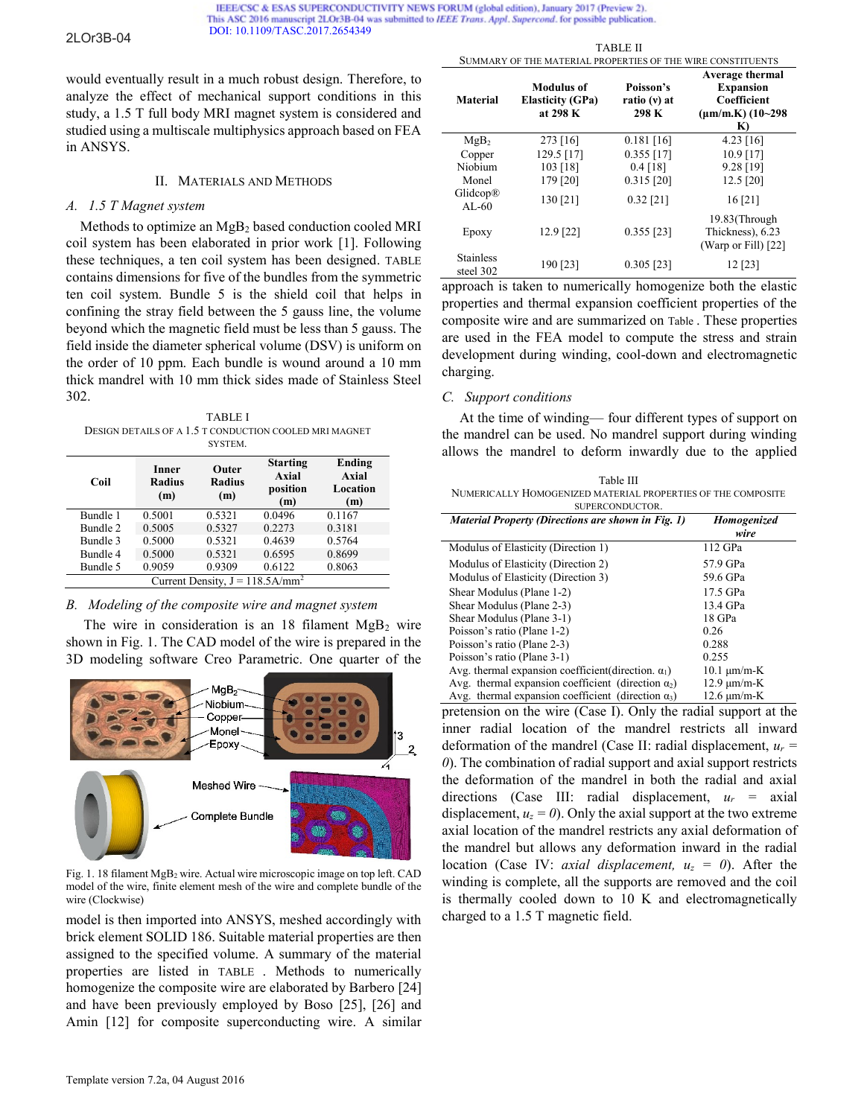2LOr3B-04

IEEE/CSC & ESAS SUPERCONDUCTIVITY NEWS FORUM (global edition), January 2017 (Preview 2). This ASC 2016 manuscript 2LOr3B-04 was submitted to IEEE Trans. Appl. Supercond. for possible publication. [DOI: 10.1109/TASC.2017.2654349](http://ieeexplore.ieee.org/document/7820118/)

would eventually result in a much robust design. Therefore, to analyze the effect of mechanical support conditions in this study, a 1.5 T full body MRI magnet system is considered and studied using a multiscale multiphysics approach based on FEA in ANSYS.

#### II. MATERIALS AND METHODS

#### *A. 1.5 T Magnet system*

Methods to optimize an MgB2 based conduction cooled MRI coil system has been elaborated in prior work [1]. Following these techniques, a ten coil system has been designed. [TABLE](#page-1-0)  contains dimensions for five of the bundles from the symmetric ten coil system. Bundle 5 is the shield coil that helps in confining the stray field between the 5 gauss line, the volume beyond which the magnetic field must be less than 5 gauss. The field inside the diameter spherical volume (DSV) is uniform on the order of 10 ppm. Each bundle is wound around a 10 mm thick mandrel with 10 mm thick sides made of Stainless Steel 302.

<span id="page-1-0"></span>TABLE I DESIGN DETAILS OF A 1.5 T CONDUCTION COOLED MRI MAGNET SYSTEM.

| Coil                                           | Inner<br><b>Radius</b><br>(m) | Outer<br><b>Radius</b><br>(m) | <b>Starting</b><br>Axial<br>position<br>(m) | Ending<br>Axial<br>Location<br>(m) |  |
|------------------------------------------------|-------------------------------|-------------------------------|---------------------------------------------|------------------------------------|--|
| Bundle 1                                       | 0.5001                        | 0.5321                        | 0.0496                                      | 0.1167                             |  |
| Bundle 2                                       | 0.5005                        | 0.5327                        | 0.2273                                      | 0.3181                             |  |
| Bundle 3                                       | 0.5000                        | 0.5321                        | 0.4639                                      | 0.5764                             |  |
| Bundle 4                                       | 0.5000                        | 0.5321                        | 0.6595                                      | 0.8699                             |  |
| Bundle 5                                       | 0.9059                        | 0.9309                        | 0.6122                                      | 0.8063                             |  |
| Current Density, $J = 118.5$ A/mm <sup>2</sup> |                               |                               |                                             |                                    |  |

#### *B. Modeling of the composite wire and magnet system*

The wire in consideration is an  $18$  filament MgB<sub>2</sub> wire shown in [Fig. 1.](#page-1-1) The CAD model of the wire is prepared in the 3D modeling software Creo Parametric. One quarter of the



<span id="page-1-1"></span>Fig. 1. 18 filament MgB<sup>2</sup> wire. Actual wire microscopic image on top left. CAD model of the wire, finite element mesh of the wire and complete bundle of the wire (Clockwise)

model is then imported into ANSYS, meshed accordingly with brick element SOLID 186. Suitable material properties are then assigned to the specified volume. A summary of the material properties are listed in [TABLE](#page-1-2) . Methods to numerically homogenize the composite wire are elaborated by Barbero [24] and have been previously employed by Boso [25], [26] and Amin [12] for composite superconducting wire. A similar

<span id="page-1-2"></span>

| SUMMARY OF THE MATERIAL PROPERTIES OF THE WIRE CONSTITUENTS |                                                          |                                    |                                                                                          |  |  |
|-------------------------------------------------------------|----------------------------------------------------------|------------------------------------|------------------------------------------------------------------------------------------|--|--|
| <b>Material</b>                                             | <b>Modulus of</b><br><b>Elasticity (GPa)</b><br>at 298 K | Poisson's<br>ratio (v) at<br>298 K | Average thermal<br><b>Expansion</b><br>Coefficient<br>$(\mu m/m.K)$ (10~298)<br>$\bf{K}$ |  |  |
| MgB <sub>2</sub>                                            | 273 [16]                                                 | $0.181$ [16]                       | $4.23$ [16]                                                                              |  |  |
| Copper                                                      | 129.5 [17]                                               | $0.355$ [17]                       | $10.9$ [17]                                                                              |  |  |
| Niobium                                                     | 103 [18]                                                 | $0.4$ [18]                         | $9.28$ [19]                                                                              |  |  |
| Monel                                                       | 179 [20]                                                 | $0.315$ [20]                       | 12.5 [20]                                                                                |  |  |
| Glidcop®<br>$AI - 60$                                       | 130 [21]                                                 | $0.32$ [21]                        | 16[21]                                                                                   |  |  |
| Epoxy                                                       | $12.9$ [22]                                              | $0.355$ [23]                       | 19.83(Through<br>Thickness), 6.23<br>(Warp or Fill) [22]                                 |  |  |
| <b>Stainless</b><br>steel 302                               | 190 [23]                                                 | $0.305$ [23]                       | 12 [23]                                                                                  |  |  |

TABLE II

approach is taken to numerically homogenize both the elastic properties and thermal expansion coefficient properties of the composite wire and are summarized on [Table](#page-1-3) . These properties are used in the FEA model to compute the stress and strain development during winding, cool-down and electromagnetic charging.

#### *C. Support conditions*

 At the time of winding— four different types of support on the mandrel can be used. No mandrel support during winding allows the mandrel to deform inwardly due to the applied

<span id="page-1-3"></span>

| Table III                                                    |  |  |  |  |  |  |
|--------------------------------------------------------------|--|--|--|--|--|--|
| NUMERICALLY HOMOGENIZED MATERIAL PROPERTIES OF THE COMPOSITE |  |  |  |  |  |  |
| SUPERCONDUCTOR.                                              |  |  |  |  |  |  |
| .                                                            |  |  |  |  |  |  |

| Material Property (Directions are shown in Fig. 1)          | Homogenized<br>wire            |
|-------------------------------------------------------------|--------------------------------|
| Modulus of Elasticity (Direction 1)                         | 112 GPa                        |
| Modulus of Elasticity (Direction 2)                         | 57.9 GPa                       |
| Modulus of Elasticity (Direction 3)                         | 59.6 GPa                       |
| Shear Modulus (Plane 1-2)                                   | 17.5 GPa                       |
| Shear Modulus (Plane 2-3)                                   | 13.4 GPa                       |
| Shear Modulus (Plane 3-1)                                   | 18 GPa                         |
| Poisson's ratio (Plane 1-2)                                 | 0.26                           |
| Poisson's ratio (Plane 2-3)                                 | 0.288                          |
| Poisson's ratio (Plane 3-1)                                 | 0.255                          |
| Avg. thermal expansion coefficient (direction. $\alpha_1$ ) | $10.1 \text{ }\mu\text{m/m-K}$ |
| Avg. thermal expansion coefficient (direction $\alpha_2$ )  | $12.9 \text{ µm/m-K}$          |
| Avg. thermal expansion coefficient (direction $\alpha_3$ )  | $12.6 \text{ µm/m-K}$          |

pretension on the wire (Case I). Only the radial support at the inner radial location of the mandrel restricts all inward deformation of the mandrel (Case II: radial displacement,  $u_r$  = *0*). The combination of radial support and axial support restricts the deformation of the mandrel in both the radial and axial directions (Case III: radial displacement, *u<sup>r</sup> =* axial displacement,  $u_z = 0$ ). Only the axial support at the two extreme axial location of the mandrel restricts any axial deformation of the mandrel but allows any deformation inward in the radial location (Case IV: *axial displacement,*  $u_z = 0$ ). After the winding is complete, all the supports are removed and the coil is thermally cooled down to 10 K and electromagnetically charged to a 1.5 T magnetic field.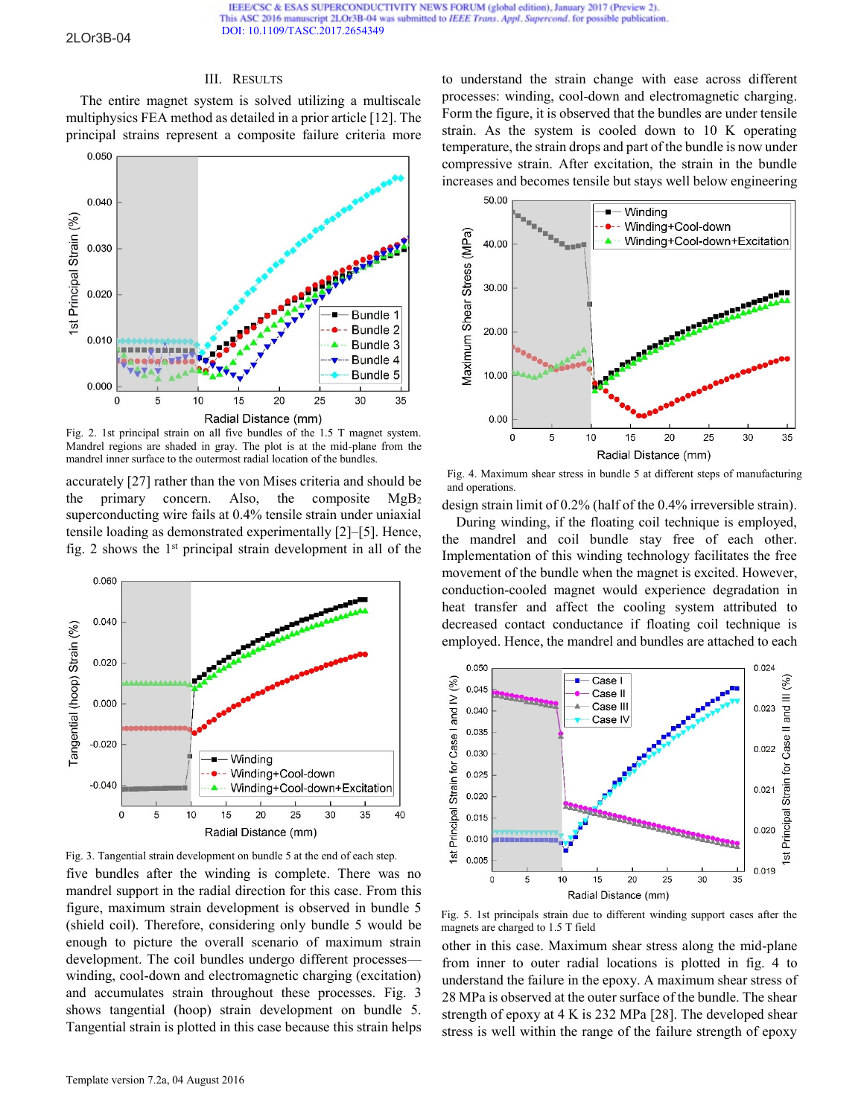IEEE/CSC & ESAS SUPERCONDUCTIVITY NEWS FORUM (global edition), January 2017 (Preview 2). This ASC 2016 manuscript 2LOr3B-04 was submitted to IEEE Trans. Appl. Supercond. for possible publication. [DOI: 10.1109/TASC.2017.2654349](http://ieeexplore.ieee.org/document/7820118/)

### 2LOr3B-04

#### III. RESULTS

The entire magnet system is solved utilizing a multiscale multiphysics FEA method as detailed in a prior article [12]. The principal strains represent a composite failure criteria more



Fig. 2. 1st principal strain on all five bundles of the 1.5 T magnet system. Mandrel regions are shaded in gray. The plot is at the mid-plane from the mandrel inner surface to the outermost radial location of the bundles.

accurately [27] rather than the von Mises criteria and should be the primary concern. Also, the composite  $MgB_2$ superconducting wire fails at 0.4% tensile strain under uniaxial tensile loading as demonstrated experimentally [2]–[5]. Hence, fig. 2 shows the  $1<sup>st</sup>$  principal strain development in all of the





five bundles after the winding is complete. There was no mandrel support in the radial direction for this case. From this figure, maximum strain development is observed in bundle 5 (shield coil). Therefore, considering only bundle 5 would be enough to picture the overall scenario of maximum strain development. The coil bundles undergo different processes winding, cool-down and electromagnetic charging (excitation) and accumulates strain throughout these processes. Fig. 3 shows tangential (hoop) strain development on bundle 5. Tangential strain is plotted in this case because this strain helps to understand the strain change with ease across different processes: winding, cool-down and electromagnetic charging. Form the figure, it is observed that the bundles are under tensile strain. As the system is cooled down to 10 K operating temperature, the strain drops and part of the bundle is now under compressive strain. After excitation, the strain in the bundle increases and becomes tensile but stays well below engineering



Fig. 4. Maximum shear stress in bundle 5 at different steps of manufacturing and operations.

design strain limit of 0.2% (half of the 0.4% irreversible strain).

During winding, if the floating coil technique is employed, the mandrel and coil bundle stay free of each other. Implementation of this winding technology facilitates the free movement of the bundle when the magnet is excited. However, conduction-cooled magnet would experience degradation in heat transfer and affect the cooling system attributed to decreased contact conductance if floating coil technique is employed. Hence, the mandrel and bundles are attached to each



Fig. 5. 1st principals strain due to different winding support cases after the magnets are charged to 1.5 T field

other in this case. Maximum shear stress along the mid-plane from inner to outer radial locations is plotted in fig. 4 to understand the failure in the epoxy. A maximum shear stress of 28 MPa is observed at the outer surface of the bundle. The shear strength of epoxy at 4 K is 232 MPa [28]. The developed shear stress is well within the range of the failure strength of epoxy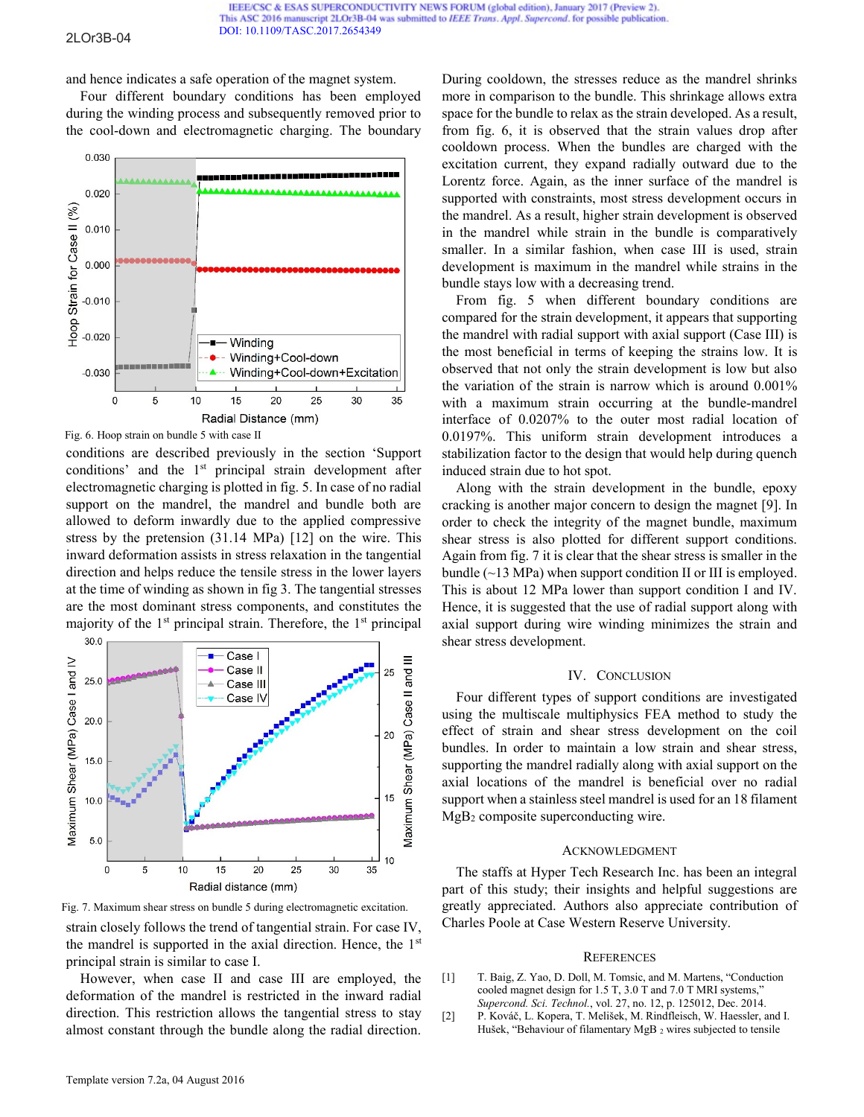#### 2LOr3B-04

and hence indicates a safe operation of the magnet system.

Four different boundary conditions has been employed during the winding process and subsequently removed prior to the cool-down and electromagnetic charging. The boundary



Fig. 6. Hoop strain on bundle 5 with case II

conditions are described previously in the section 'Support conditions' and the 1<sup>st</sup> principal strain development after electromagnetic charging is plotted in fig. 5. In case of no radial support on the mandrel, the mandrel and bundle both are allowed to deform inwardly due to the applied compressive stress by the pretension (31.14 MPa) [12] on the wire. This inward deformation assists in stress relaxation in the tangential direction and helps reduce the tensile stress in the lower layers at the time of winding as shown in fig 3. The tangential stresses are the most dominant stress components, and constitutes the majority of the  $1<sup>st</sup>$  principal strain. Therefore, the  $1<sup>st</sup>$  principal



strain closely follows the trend of tangential strain. For case IV, the mandrel is supported in the axial direction. Hence, the  $1<sup>st</sup>$ principal strain is similar to case I. Fig. 7. Maximum shear stress on bundle 5 during electromagnetic excitation.

However, when case II and case III are employed, the deformation of the mandrel is restricted in the inward radial direction. This restriction allows the tangential stress to stay almost constant through the bundle along the radial direction.

During cooldown, the stresses reduce as the mandrel shrinks more in comparison to the bundle. This shrinkage allows extra space for the bundle to relax as the strain developed. As a result, from fig. 6, it is observed that the strain values drop after cooldown process. When the bundles are charged with the excitation current, they expand radially outward due to the Lorentz force. Again, as the inner surface of the mandrel is supported with constraints, most stress development occurs in the mandrel. As a result, higher strain development is observed in the mandrel while strain in the bundle is comparatively smaller. In a similar fashion, when case III is used, strain development is maximum in the mandrel while strains in the bundle stays low with a decreasing trend.

From fig. 5 when different boundary conditions are compared for the strain development, it appears that supporting the mandrel with radial support with axial support (Case III) is the most beneficial in terms of keeping the strains low. It is observed that not only the strain development is low but also the variation of the strain is narrow which is around 0.001% with a maximum strain occurring at the bundle-mandrel interface of 0.0207% to the outer most radial location of 0.0197%. This uniform strain development introduces a stabilization factor to the design that would help during quench induced strain due to hot spot.

Along with the strain development in the bundle, epoxy cracking is another major concern to design the magnet [9]. In order to check the integrity of the magnet bundle, maximum shear stress is also plotted for different support conditions. Again from fig. 7 it is clear that the shear stress is smaller in the bundle  $(\sim 13 \text{ MPa})$  when support condition II or III is employed. This is about 12 MPa lower than support condition I and IV. Hence, it is suggested that the use of radial support along with axial support during wire winding minimizes the strain and shear stress development.

## IV. CONCLUSION

Four different types of support conditions are investigated using the multiscale multiphysics FEA method to study the effect of strain and shear stress development on the coil bundles. In order to maintain a low strain and shear stress, supporting the mandrel radially along with axial support on the axial locations of the mandrel is beneficial over no radial support when a stainless steel mandrel is used for an 18 filament MgB2 composite superconducting wire.

## ACKNOWLEDGMENT

The staffs at Hyper Tech Research Inc. has been an integral part of this study; their insights and helpful suggestions are greatly appreciated. Authors also appreciate contribution of Charles Poole at Case Western Reserve University.

## **REFERENCES**

- [1] T. Baig, Z. Yao, D. Doll, M. Tomsic, and M. Martens, "Conduction cooled magnet design for 1.5 T, 3.0 T and 7.0 T MRI systems,' *Supercond. Sci. Technol.*, vol. 27, no. 12, p. 125012, Dec. 2014.
- [2] P. Kováč, L. Kopera, T. Melišek, M. Rindfleisch, W. Haessler, and I. Hušek, "Behaviour of filamentary MgB 2 wires subjected to tensile